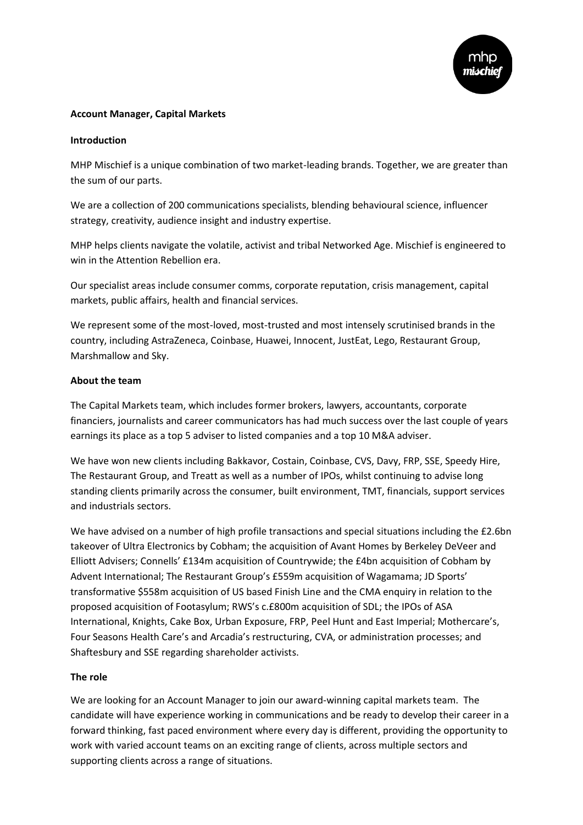

# **Account Manager, Capital Markets**

### **Introduction**

MHP Mischief is a unique combination of two market-leading brands. Together, we are greater than the sum of our parts.

We are a collection of 200 communications specialists, blending behavioural science, influencer strategy, creativity, audience insight and industry expertise.

MHP helps clients navigate the volatile, activist and tribal Networked Age. Mischief is engineered to win in the Attention Rebellion era.

Our specialist areas include consumer comms, corporate reputation, crisis management, capital markets, public affairs, health and financial services.

We represent some of the most-loved, most-trusted and most intensely scrutinised brands in the country, including AstraZeneca, Coinbase, Huawei, Innocent, JustEat, Lego, Restaurant Group, Marshmallow and Sky.

## **About the team**

The Capital Markets team, which includes former brokers, lawyers, accountants, corporate financiers, journalists and career communicators has had much success over the last couple of years earnings its place as a top 5 adviser to listed companies and a top 10 M&A adviser.

We have won new clients including Bakkavor, Costain, Coinbase, CVS, Davy, FRP, SSE, Speedy Hire, The Restaurant Group, and Treatt as well as a number of IPOs, whilst continuing to advise long standing clients primarily across the consumer, built environment, TMT, financials, support services and industrials sectors.

We have advised on a number of high profile transactions and special situations including the £2.6bn takeover of Ultra Electronics by Cobham; the acquisition of Avant Homes by Berkeley DeVeer and Elliott Advisers; Connells' £134m acquisition of Countrywide; the £4bn acquisition of Cobham by Advent International; The Restaurant Group's £559m acquisition of Wagamama; JD Sports' transformative \$558m acquisition of US based Finish Line and the CMA enquiry in relation to the proposed acquisition of Footasylum; RWS's c.£800m acquisition of SDL; the IPOs of ASA International, Knights, Cake Box, Urban Exposure, FRP, Peel Hunt and East Imperial; Mothercare's, Four Seasons Health Care's and Arcadia's restructuring, CVA, or administration processes; and Shaftesbury and SSE regarding shareholder activists.

# **The role**

We are looking for an Account Manager to join our award-winning capital markets team. The candidate will have experience working in communications and be ready to develop their career in a forward thinking, fast paced environment where every day is different, providing the opportunity to work with varied account teams on an exciting range of clients, across multiple sectors and supporting clients across a range of situations.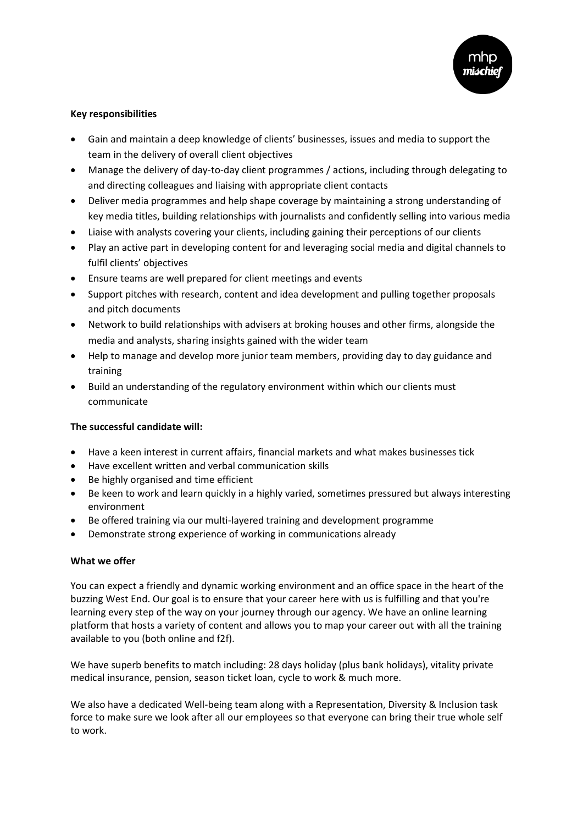

## **Key responsibilities**

- Gain and maintain a deep knowledge of clients' businesses, issues and media to support the team in the delivery of overall client objectives
- Manage the delivery of day-to-day client programmes / actions, including through delegating to and directing colleagues and liaising with appropriate client contacts
- Deliver media programmes and help shape coverage by maintaining a strong understanding of key media titles, building relationships with journalists and confidently selling into various media
- Liaise with analysts covering your clients, including gaining their perceptions of our clients
- Play an active part in developing content for and leveraging social media and digital channels to fulfil clients' objectives
- Ensure teams are well prepared for client meetings and events
- Support pitches with research, content and idea development and pulling together proposals and pitch documents
- Network to build relationships with advisers at broking houses and other firms, alongside the media and analysts, sharing insights gained with the wider team
- Help to manage and develop more junior team members, providing day to day guidance and training
- Build an understanding of the regulatory environment within which our clients must communicate

# **The successful candidate will:**

- Have a keen interest in current affairs, financial markets and what makes businesses tick
- Have excellent written and verbal communication skills
- Be highly organised and time efficient
- Be keen to work and learn quickly in a highly varied, sometimes pressured but always interesting environment
- Be offered training via our multi-layered training and development programme
- Demonstrate strong experience of working in communications already

#### **What we offer**

You can expect a friendly and dynamic working environment and an office space in the heart of the buzzing West End. Our goal is to ensure that your career here with us is fulfilling and that you're learning every step of the way on your journey through our agency. We have an online learning platform that hosts a variety of content and allows you to map your career out with all the training available to you (both online and f2f).

We have superb benefits to match including: 28 days holiday (plus bank holidays), vitality private medical insurance, pension, season ticket loan, cycle to work & much more.

We also have a dedicated Well-being team along with a Representation, Diversity & Inclusion task force to make sure we look after all our employees so that everyone can bring their true whole self to work.